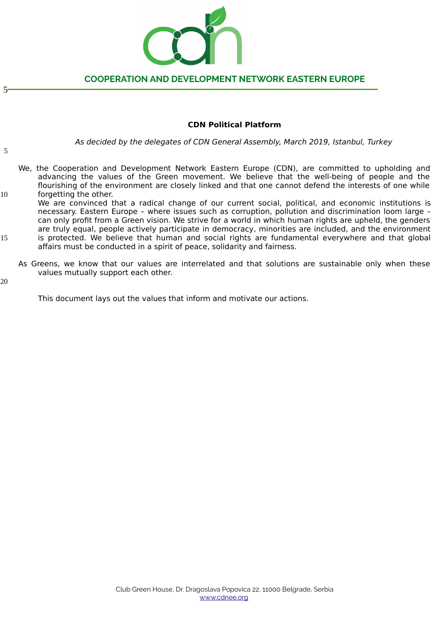

## **CDN Political Platform**

As decided by the delegates of CDN General Assembly, March 2019, Istanbul, Turkey

5

5

- We, the Cooperation and Development Network Eastern Europe (CDN), are committed to upholding and advancing the values of the Green movement. We believe that the well-being of people and the flourishing of the environment are closely linked and that one cannot defend the interests of one while forgetting the other.
- We are convinced that a radical change of our current social, political, and economic institutions is necessary. Eastern Europe – where issues such as corruption, pollution and discrimination loom large – can only profit from a Green vision. We strive for a world in which human rights are upheld, the genders are truly equal, people actively participate in democracy, minorities are included, and the environment is protected. We believe that human and social rights are fundamental everywhere and that global affairs must be conducted in a spirit of peace, solidarity and fairness. 10 15
	- As Greens, we know that our values are interrelated and that solutions are sustainable only when these values mutually support each other.

20

This document lays out the values that inform and motivate our actions.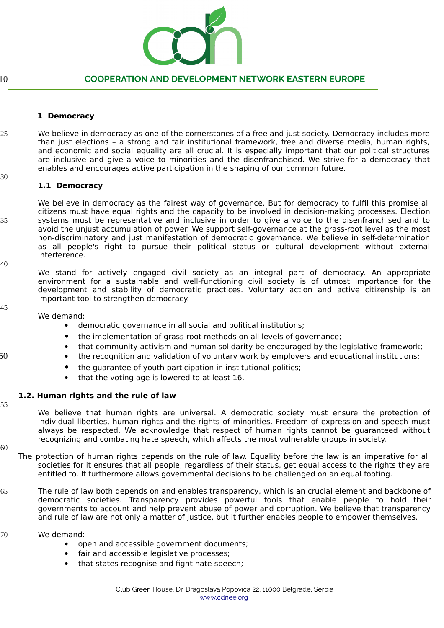

10

# **COOPERATION AND DEVELOPMENT NETWORK EASTERN EUROPE**

### **1 Democracy**

- We believe in democracy as one of the cornerstones of a free and just society. Democracy includes more than just elections – a strong and fair institutional framework, free and diverse media, human rights, and economic and social equality are all crucial. It is especially important that our political structures are inclusive and give a voice to minorities and the disenfranchised. We strive for a democracy that enables and encourages active participation in the shaping of our common future. 25
- 30

### **1.1 Democracy**

We believe in democracy as the fairest way of governance. But for democracy to fulfil this promise all citizens must have equal rights and the capacity to be involved in decision-making processes. Election systems must be representative and inclusive in order to give a voice to the disenfranchised and to avoid the unjust accumulation of power. We support self-governance at the grass-root level as the most non-discriminatory and just manifestation of democratic governance. We believe in self-determination as all people's right to pursue their political status or cultural development without external interference. 35

40

We stand for actively engaged civil society as an integral part of democracy. An appropriate environment for a sustainable and well-functioning civil society is of utmost importance for the development and stability of democratic practices. Voluntary action and active citizenship is an important tool to strengthen democracy.

45

We demand:

- democratic governance in all social and political institutions;
- the implementation of grass-root methods on all levels of governance;
- that community activism and human solidarity be encouraged by the legislative framework;
- the recognition and validation of voluntary work by employers and educational institutions;
- the guarantee of youth participation in institutional politics;
- that the voting age is lowered to at least 16.

### **1.2. Human rights and the rule of law**

55

50

We believe that human rights are universal. A democratic society must ensure the protection of individual liberties, human rights and the rights of minorities. Freedom of expression and speech must always be respected. We acknowledge that respect of human rights cannot be guaranteed without recognizing and combating hate speech, which affects the most vulnerable groups in society.

- The protection of human rights depends on the rule of law. Equality before the law is an imperative for all societies for it ensures that all people, regardless of their status, get equal access to the rights they are entitled to. It furthermore allows governmental decisions to be challenged on an equal footing.
- The rule of law both depends on and enables transparency, which is an crucial element and backbone of democratic societies. Transparency provides powerful tools that enable people to hold their governments to account and help prevent abuse of power and corruption. We believe that transparency and rule of law are not only a matter of justice, but it further enables people to empower themselves. 65
- We demand: 70
	- open and accessible government documents;
	- fair and accessible legislative processes;
	- that states recognise and fight hate speech;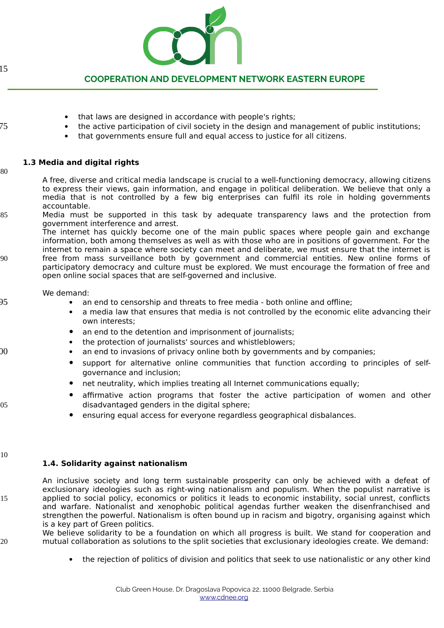

that laws are designed in accordance with people's rights;

# **COOPERATION AND DEVELOPMENT NETWORK EASTERN EUROPE**

the active participation of civil society in the design and management of public institutions;

|    | • that governments ensure full and equal access to justice for all citizens.                                                                                                                                                                                                                                                             |
|----|------------------------------------------------------------------------------------------------------------------------------------------------------------------------------------------------------------------------------------------------------------------------------------------------------------------------------------------|
| 80 | 1.3 Media and digital rights                                                                                                                                                                                                                                                                                                             |
|    | A free, diverse and critical media landscape is crucial to a well-functioning democracy, allowing citizens<br>to express their views, gain information, and engage in political deliberation. We believe that only a<br>media that is not controlled by a few big enterprises can fulfil its role in holding governments<br>accountable. |
| 85 | Media must be supported in this task by adequate transparency laws and the protection from<br>government interference and arrest.<br>The internet has quickly become one of the main public spaces where people gain and exchange                                                                                                        |
|    | information, both among themselves as well as with those who are in positions of government. For the<br>internet to remain a space where society can meet and deliberate, we must ensure that the internet is                                                                                                                            |
| 90 | free from mass surveillance both by government and commercial entities. New online forms of<br>participatory democracy and culture must be explored. We must encourage the formation of free and<br>open online social spaces that are self-governed and inclusive.                                                                      |
|    | We demand:                                                                                                                                                                                                                                                                                                                               |
|    | • an end to censorship and threats to free media - both online and offline;<br>a media law that ensures that media is not controlled by the economic elite advancing their<br>$\bullet$<br>own interests;                                                                                                                                |
|    | $\bullet$ an and to the detection and impulsement of issues lieter.                                                                                                                                                                                                                                                                      |

- an end to the detention and imprisonment of journalists;
- the protection of journalists' sources and whistleblowers;
- an end to invasions of privacy online both by governments and by companies;
- support for alternative online communities that function according to principles of selfgovernance and inclusion;
- net neutrality, which implies treating all Internet communications equally;
- affirmative action programs that foster the active participation of women and other disadvantaged genders in the digital sphere;
- ensuring equal access for everyone regardless geographical disbalances.

#### $10$

## **1.4. Solidarity against nationalism**

An inclusive society and long term sustainable prosperity can only be achieved with a defeat of exclusionary ideologies such as right-wing nationalism and populism. When the populist narrative is applied to social policy, economics or politics it leads to economic instability, social unrest, conflicts and warfare. Nationalist and xenophobic political agendas further weaken the disenfranchised and strengthen the powerful. Nationalism is often bound up in racism and bigotry, organising against which is a key part of Green politics.

We believe solidarity to be a foundation on which all progress is built. We stand for cooperation and mutual collaboration as solutions to the split societies that exclusionary ideologies create. We demand:

the rejection of politics of division and politics that seek to use nationalistic or any other kind

15

75

ገበ

05

15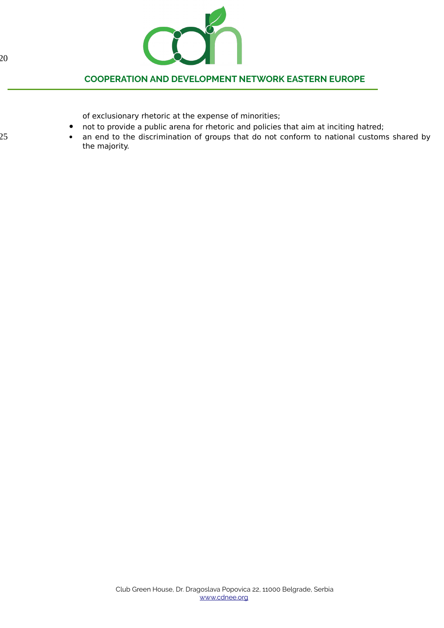

of exclusionary rhetoric at the expense of minorities;

- not to provide a public arena for rhetoric and policies that aim at inciting hatred;
- an end to the discrimination of groups that do not conform to national customs shared by the majority.

125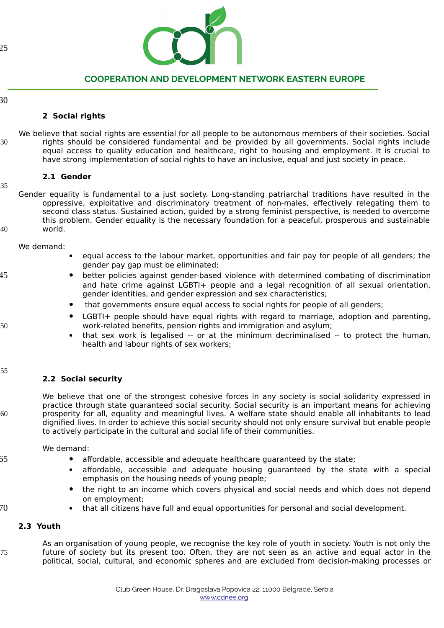

30

145

150

155

60

55

## **2 Social rights**

We believe that social rights are essential for all people to be autonomous members of their societies. Social rights should be considered fundamental and be provided by all governments. Social rights include equal access to quality education and healthcare, right to housing and employment. It is crucial to have strong implementation of social rights to have an inclusive, equal and just society in peace. 130

## **2.1 Gender**

Gender equality is fundamental to a just society. Long-standing patriarchal traditions have resulted in the oppressive, exploitative and discriminatory treatment of non-males, effectively relegating them to second class status. Sustained action, guided by a strong feminist perspective, is needed to overcome this problem. Gender equality is the necessary foundation for a peaceful, prosperous and sustainable world. 135 40

We demand:

- equal access to the labour market, opportunities and fair pay for people of all genders; the gender pay gap must be eliminated;
- better policies against gender-based violence with determined combating of discrimination and hate crime against LGBTI+ people and a legal recognition of all sexual orientation, gender identities, and gender expression and sex characteristics;
- that governments ensure equal access to social rights for people of all genders;
- LGBTI+ people should have equal rights with regard to marriage, adoption and parenting, work-related benefits, pension rights and immigration and asylum;
- that sex work is legalised -- or at the minimum decriminalised -- to protect the human, health and labour rights of sex workers;

## **2.2 Social security**

We believe that one of the strongest cohesive forces in any society is social solidarity expressed in practice through state guaranteed social security. Social security is an important means for achieving prosperity for all, equality and meaningful lives. A welfare state should enable all inhabitants to lead dignified lives. In order to achieve this social security should not only ensure survival but enable people to actively participate in the cultural and social life of their communities.

We demand:

- affordable, accessible and adequate healthcare guaranteed by the state;
- affordable, accessible and adequate housing guaranteed by the state with a special emphasis on the housing needs of young people;
- the right to an income which covers physical and social needs and which does not depend on employment;

170

that all citizens have full and equal opportunities for personal and social development.

## **2.3 Youth**

175

As an organisation of young people, we recognise the key role of youth in society. Youth is not only the future of society but its present too. Often, they are not seen as an active and equal actor in the political, social, cultural, and economic spheres and are excluded from decision-making processes or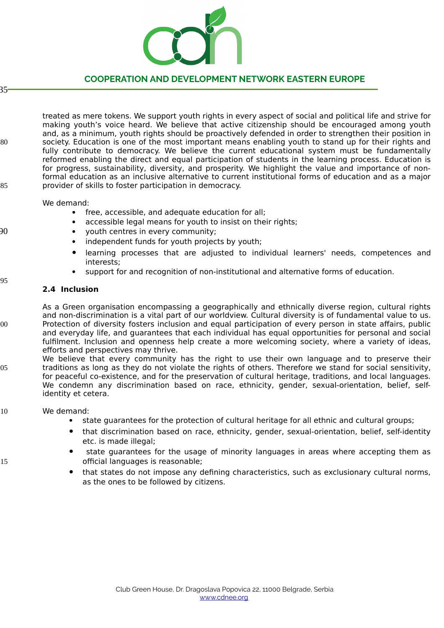

#### 35

treated as mere tokens. We support youth rights in every aspect of social and political life and strive for making youth's voice heard. We believe that active citizenship should be encouraged among youth and, as a minimum, youth rights should be proactively defended in order to strengthen their position in society. Education is one of the most important means enabling youth to stand up for their rights and fully contribute to democracy. We believe the current educational system must be fundamentally reformed enabling the direct and equal participation of students in the learning process. Education is for progress, sustainability, diversity, and prosperity. We highlight the value and importance of nonformal education as an inclusive alternative to current institutional forms of education and as a major provider of skills to foster participation in democracy. 180 185

### We demand:

- free, accessible, and adequate education for all;
- accessible legal means for youth to insist on their rights;
- youth centres in every community;
- independent funds for youth projects by youth;
- learning processes that are adjusted to individual learners' needs, competences and interests;
- support for and recognition of non-institutional and alternative forms of education.

# 195

215

190

## **2.4 Inclusion**

- As a Green organisation encompassing a geographically and ethnically diverse region, cultural rights and non-discrimination is a vital part of our worldview. Cultural diversity is of fundamental value to us. Protection of diversity fosters inclusion and equal participation of every person in state affairs, public and everyday life, and guarantees that each individual has equal opportunities for personal and social fulfilment. Inclusion and openness help create a more welcoming society, where a variety of ideas, efforts and perspectives may thrive. 200
- We believe that every community has the right to use their own language and to preserve their traditions as long as they do not violate the rights of others. Therefore we stand for social sensitivity, for peaceful co-existence, and for the preservation of cultural heritage, traditions, and local languages. We condemn any discrimination based on race, ethnicity, gender, sexual-orientation, belief, selfidentity et cetera. 205

#### We demand: 210

- state guarantees for the protection of cultural heritage for all ethnic and cultural groups;
- that discrimination based on race, ethnicity, gender, sexual-orientation, belief, self-identity etc. is made illegal;
- state guarantees for the usage of minority languages in areas where accepting them as official languages is reasonable;
- that states do not impose any defining characteristics, such as exclusionary cultural norms, as the ones to be followed by citizens.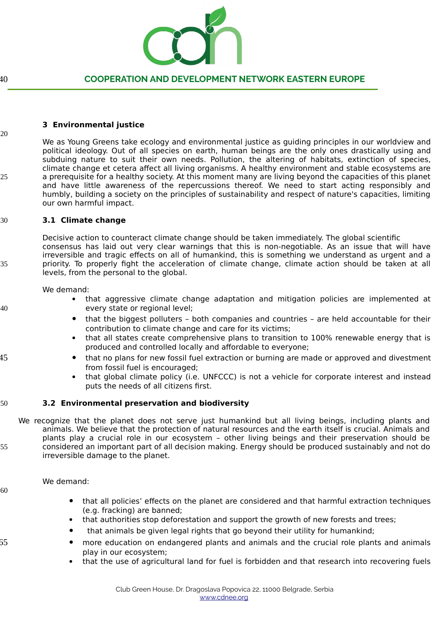

## **3 Environmental justice**

We as Young Greens take ecology and environmental justice as guiding principles in our worldview and political ideology. Out of all species on earth, human beings are the only ones drastically using and subduing nature to suit their own needs. Pollution, the altering of habitats, extinction of species, climate change et cetera affect all living organisms. A healthy environment and stable ecosystems are a prerequisite for a healthy society. At this moment many are living beyond the capacities of this planet and have little awareness of the repercussions thereof. We need to start acting responsibly and humbly, building a society on the principles of sustainability and respect of nature's capacities, limiting our own harmful impact. 220 25

#### **3.1 Climate change** 230

Decisive action to counteract climate change should be taken immediately. The global scientific consensus has laid out very clear warnings that this is non-negotiable. As an issue that will have irreversible and tragic effects on all of humankind, this is something we understand as urgent and a priority. To properly fight the acceleration of climate change, climate action should be taken at all levels, from the personal to the global.

We demand:

- that aggressive climate change adaptation and mitigation policies are implemented at every state or regional level;
- that the biggest polluters both companies and countries are held accountable for their contribution to climate change and care for its victims;
- that all states create comprehensive plans to transition to 100% renewable energy that is produced and controlled locally and affordable to everyone;
- that no plans for new fossil fuel extraction or burning are made or approved and divestment from fossil fuel is encouraged;
	- that global climate policy (i.e. UNFCCC) is not a vehicle for corporate interest and instead puts the needs of all citizens first.

#### **3.2 Environmental preservation and biodiversity** 50

We recognize that the planet does not serve just humankind but all living beings, including plants and animals. We believe that the protection of natural resources and the earth itself is crucial. Animals and plants play a crucial role in our ecosystem – other living beings and their preservation should be considered an important part of all decision making. Energy should be produced sustainably and not do irreversible damage to the planet.

We demand:

- that all policies' effects on the planet are considered and that harmful extraction techniques (e.g. fracking) are banned;
- that authorities stop deforestation and support the growth of new forests and trees;
- that animals be given legal rights that go beyond their utility for humankind;
- more education on endangered plants and animals and the crucial role plants and animals play in our ecosystem;
- that the use of agricultural land for fuel is forbidden and that research into recovering fuels

245

235

240

255

60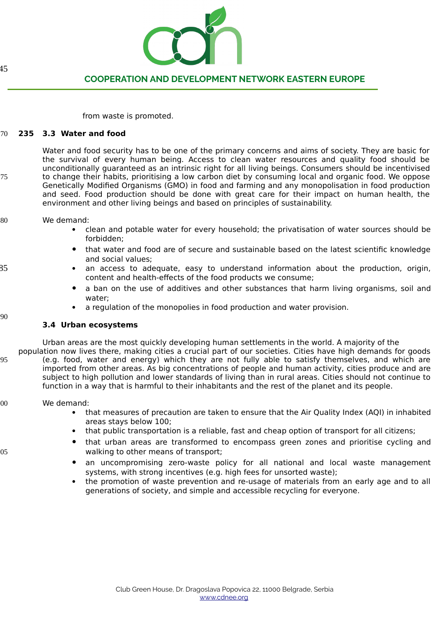

from waste is promoted.

#### **235 3.3 Water and food** 270

Water and food security has to be one of the primary concerns and aims of society. They are basic for the survival of every human being. Access to clean water resources and quality food should be unconditionally guaranteed as an intrinsic right for all living beings. Consumers should be incentivised to change their habits, prioritising a low carbon diet by consuming local and organic food. We oppose Genetically Modified Organisms (GMO) in food and farming and any monopolisation in food production and seed. Food production should be done with great care for their impact on human health, the environment and other living beings and based on principles of sustainability.

#### We demand: 280

- clean and potable water for every household; the privatisation of water sources should be forbidden;
- that water and food are of secure and sustainable based on the latest scientific knowledge and social values;
- an access to adequate, easy to understand information about the production, origin, content and health-effects of the food products we consume;
- a ban on the use of additives and other substances that harm living organisms, soil and water;
- a regulation of the monopolies in food production and water provision.

## **3.4 Urban ecosystems**

Urban areas are the most quickly developing human settlements in the world. A majority of the

population now lives there, making cities a crucial part of our societies. Cities have high demands for goods (e.g. food, water and energy) which they are not fully able to satisfy themselves, and which are imported from other areas. As big concentrations of people and human activity, cities produce and are subject to high pollution and lower standards of living than in rural areas. Cities should not continue to function in a way that is harmful to their inhabitants and the rest of the planet and its people.

#### We demand: 300

- that measures of precaution are taken to ensure that the Air Quality Index (AQI) in inhabited areas stays below 100;
- that public transportation is a reliable, fast and cheap option of transport for all citizens;
- that urban areas are transformed to encompass green zones and prioritise cycling and walking to other means of transport;
- an uncompromising zero-waste policy for all national and local waste management systems, with strong incentives (e.g. high fees for unsorted waste);
- the promotion of waste prevention and re-usage of materials from an early age and to all generations of society, and simple and accessible recycling for everyone.

45

275

290

285

295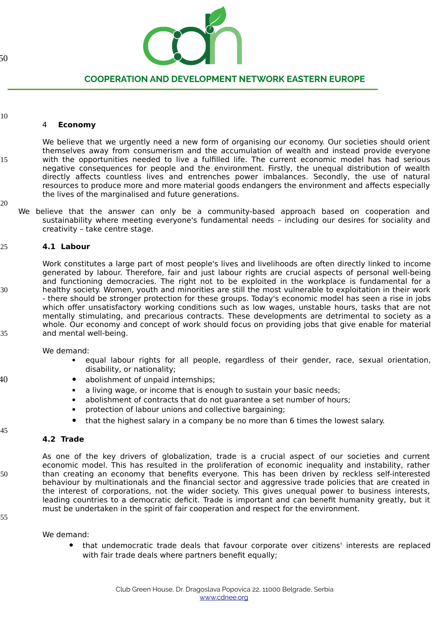

### 310

315

## 4 **Economy**

We believe that we urgently need a new form of organising our economy. Our societies should orient themselves away from consumerism and the accumulation of wealth and instead provide everyone with the opportunities needed to live a fulfilled life. The current economic model has had serious negative consequences for people and the environment. Firstly, the unequal distribution of wealth directly affects countless lives and entrenches power imbalances. Secondly, the use of natural resources to produce more and more material goods endangers the environment and affects especially the lives of the marginalised and future generations.

320

330

335

340

345

350

We believe that the answer can only be a community-based approach based on cooperation and sustainability where meeting everyone's fundamental needs – including our desires for sociality and creativity – take centre stage.

#### **4.1 Labour** 325

Work constitutes a large part of most people's lives and livelihoods are often directly linked to income generated by labour. Therefore, fair and just labour rights are crucial aspects of personal well-being and functioning democracies. The right not to be exploited in the workplace is fundamental for a healthy society. Women, youth and minorities are still the most vulnerable to exploitation in their work - there should be stronger protection for these groups. Today's economic model has seen a rise in jobs which offer unsatisfactory working conditions such as low wages, unstable hours, tasks that are not mentally stimulating, and precarious contracts. These developments are detrimental to society as a whole. Our economy and concept of work should focus on providing jobs that give enable for material and mental well-being.

We demand:

- equal labour rights for all people, regardless of their gender, race, sexual orientation, disability, or nationality;
- abolishment of unpaid internships;
	- a living wage, or income that is enough to sustain your basic needs;
	- abolishment of contracts that do not guarantee a set number of hours;
- protection of labour unions and collective bargaining;
- that the highest salary in a company be no more than 6 times the lowest salary.

### **4.2 Trade**

As one of the key drivers of globalization, trade is a crucial aspect of our societies and current economic model. This has resulted in the proliferation of economic inequality and instability, rather than creating an economy that benefits everyone. This has been driven by reckless self-interested behaviour by multinationals and the financial sector and aggressive trade policies that are created in the interest of corporations, not the wider society. This gives unequal power to business interests, leading countries to a democratic deficit. Trade is important and can benefit humanity greatly, but it must be undertaken in the spirit of fair cooperation and respect for the environment.

355

We demand:

 that undemocratic trade deals that favour corporate over citizens' interests are replaced with fair trade deals where partners benefit equally;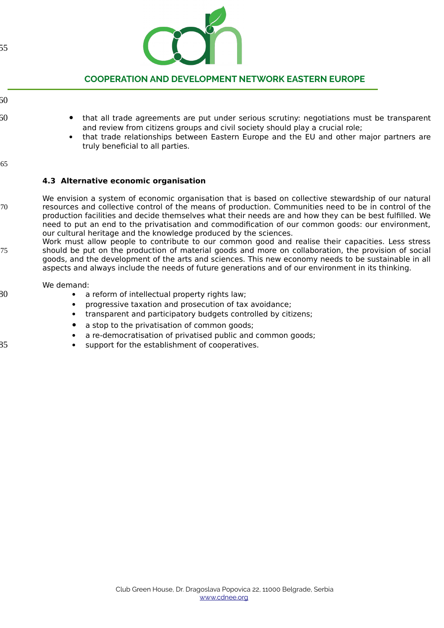

60

360

- that all trade agreements are put under serious scrutiny: negotiations must be transparent and review from citizens groups and civil society should play a crucial role;
	- that trade relationships between Eastern Europe and the EU and other major partners are truly beneficial to all parties.
- 65

30

385

## **4.3 Alternative economic organisation**

- We envision a system of economic organisation that is based on collective stewardship of our natural resources and collective control of the means of production. Communities need to be in control of the production facilities and decide themselves what their needs are and how they can be best fulfilled. We need to put an end to the privatisation and commodification of our common goods: our environment, our cultural heritage and the knowledge produced by the sciences. 370
	- Work must allow people to contribute to our common good and realise their capacities. Less stress should be put on the production of material goods and more on collaboration, the provision of social goods, and the development of the arts and sciences. This new economy needs to be sustainable in all aspects and always include the needs of future generations and of our environment in its thinking. 375

### We demand:

- a reform of intellectual property rights law;
- progressive taxation and prosecution of tax avoidance;
- transparent and participatory budgets controlled by citizens;
- a stop to the privatisation of common goods;
- a re-democratisation of privatised public and common goods;
- support for the establishment of cooperatives.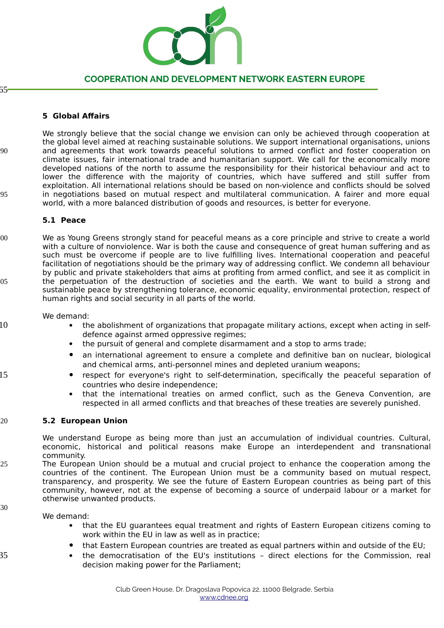

65

410

415

430

435

## **5 Global Affairs**

We strongly believe that the social change we envision can only be achieved through cooperation at the global level aimed at reaching sustainable solutions. We support international organisations, unions and agreements that work towards peaceful solutions to armed conflict and foster cooperation on climate issues, fair international trade and humanitarian support. We call for the economically more developed nations of the north to assume the responsibility for their historical behaviour and act to lower the difference with the majority of countries, which have suffered and still suffer from exploitation. All international relations should be based on non-violence and conflicts should be solved in negotiations based on mutual respect and multilateral communication. A fairer and more equal world, with a more balanced distribution of goods and resources, is better for everyone. 390 395

### **5.1 Peace**

We as Young Greens strongly stand for peaceful means as a core principle and strive to create a world with a culture of nonviolence. War is both the cause and consequence of great human suffering and as such must be overcome if people are to live fulfilling lives. International cooperation and peaceful facilitation of negotiations should be the primary way of addressing conflict. We condemn all behaviour by public and private stakeholders that aims at profiting from armed conflict, and see it as complicit in the perpetuation of the destruction of societies and the earth. We want to build a strong and sustainable peace by strengthening tolerance, economic equality, environmental protection, respect of human rights and social security in all parts of the world. 400 405

### We demand:

- the abolishment of organizations that propagate military actions, except when acting in selfdefence against armed oppressive regimes;
	- the pursuit of general and complete disarmament and a stop to arms trade;
- an international agreement to ensure a complete and definitive ban on nuclear, biological and chemical arms, anti-personnel mines and depleted uranium weapons;
- respect for everyone's right to self-determination, specifically the peaceful separation of countries who desire independence;
- that the international treaties on armed conflict, such as the Geneva Convention, are respected in all armed conflicts and that breaches of these treaties are severely punished.

#### **5.2 European Union** 420

We understand Europe as being more than just an accumulation of individual countries. Cultural, economic, historical and political reasons make Europe an interdependent and transnational community.

The European Union should be a mutual and crucial project to enhance the cooperation among the countries of the continent. The European Union must be a community based on mutual respect, transparency, and prosperity. We see the future of Eastern European countries as being part of this community, however, not at the expense of becoming a source of underpaid labour or a market for otherwise unwanted products. 425

We demand:

- that the EU guarantees equal treatment and rights of Eastern European citizens coming to work within the EU in law as well as in practice;
- that Eastern European countries are treated as equal partners within and outside of the EU;
- the democratisation of the EU's institutions direct elections for the Commission, real decision making power for the Parliament;